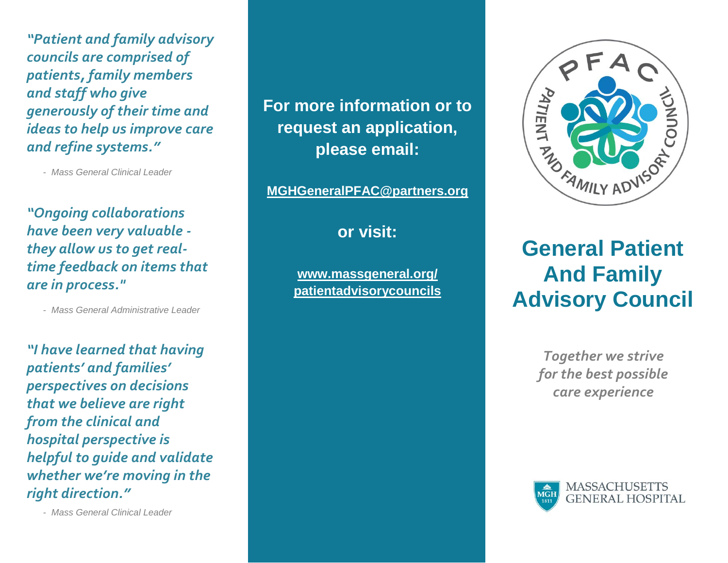*"Patient and family advisory councils are comprised of patients, family members and staff who give generously of their time and ideas to help us improve care and refine systems."*

- *Mass General Clinical Leader*

*"Ongoing collaborations have been very valuable they allow us to get realtime feedback on items that are in process."*

- *Mass General Administrative Leader*

*"I have learned that having patients' and families' perspectives on decisions that we believe are right from the clinical and hospital perspective is helpful to guide and validate whether we're moving in the right direction."*

- *Mass General Clinical Leader*

# **For more information or to request an application, please email:**

**[MGHGeneralPFAC@partners.org](mailto:MGHGeneralPFAC@partners.org)**

**or visit:**

**[www.massgeneral.org/](http://www.massgeneral.org/patientadvisorycouncils)  [patientadvisorycouncils](http://www.massgeneral.org/patientadvisorycouncils)**



# **General Patient And Family Advisory Council**

*Together we strive for the best possible care experience*